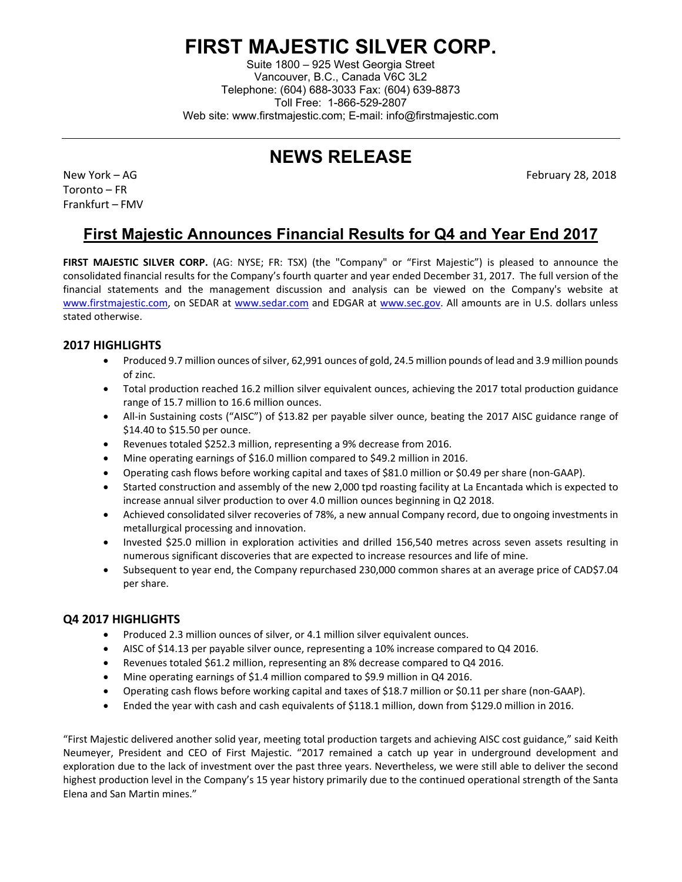# **FIRST MAJESTIC SILVER CORP.**

Suite 1800 – 925 West Georgia Street Vancouver, B.C., Canada V6C 3L2 Telephone: (604) 688-3033 Fax: (604) 639-8873 Toll Free: 1-866-529-2807 Web site: www.firstmajestic.com; E-mail: info@firstmajestic.com

# **NEWS RELEASE**

Toronto – FR Frankfurt – FMV

New York – AG February 28, 2018

# **First Majestic Announces Financial Results for Q4 and Year End 2017**

FIRST MAJESTIC SILVER CORP. (AG: NYSE; FR: TSX) (the "Company" or "First Majestic") is pleased to announce the consolidated financial results for the Company's fourth quarter and year ended December 31, 2017. The full version of the financial statements and the management discussion and analysis can be viewed on the Company's website at www.firstmajestic.com, on SEDAR at www.sedar.com and EDGAR at www.sec.gov. All amounts are in U.S. dollars unless stated otherwise.

### **2017 HIGHLIGHTS**

- Produced 9.7 million ounces of silver, 62,991 ounces of gold, 24.5 million pounds of lead and 3.9 million pounds of zinc.
- Total production reached 16.2 million silver equivalent ounces, achieving the 2017 total production guidance range of 15.7 million to 16.6 million ounces.
- All-in Sustaining costs ("AISC") of \$13.82 per payable silver ounce, beating the 2017 AISC guidance range of \$14.40 to \$15.50 per ounce.
- Revenues totaled \$252.3 million, representing a 9% decrease from 2016.
- Mine operating earnings of \$16.0 million compared to \$49.2 million in 2016.
- Operating cash flows before working capital and taxes of \$81.0 million or \$0.49 per share (non-GAAP).
- Started construction and assembly of the new 2,000 tpd roasting facility at La Encantada which is expected to increase annual silver production to over 4.0 million ounces beginning in Q2 2018.
- Achieved consolidated silver recoveries of 78%, a new annual Company record, due to ongoing investments in metallurgical processing and innovation.
- Invested \$25.0 million in exploration activities and drilled 156,540 metres across seven assets resulting in numerous significant discoveries that are expected to increase resources and life of mine.
- Subsequent to year end, the Company repurchased 230,000 common shares at an average price of CAD\$7.04 per share.

#### **Q4 2017 HIGHLIGHTS**

- Produced 2.3 million ounces of silver, or 4.1 million silver equivalent ounces.
- AISC of \$14.13 per payable silver ounce, representing a 10% increase compared to Q4 2016.
- Revenues totaled \$61.2 million, representing an 8% decrease compared to Q4 2016.
- Mine operating earnings of \$1.4 million compared to \$9.9 million in Q4 2016.
- Operating cash flows before working capital and taxes of \$18.7 million or \$0.11 per share (non-GAAP).
- Ended the year with cash and cash equivalents of \$118.1 million, down from \$129.0 million in 2016.

"First Majestic delivered another solid year, meeting total production targets and achieving AISC cost guidance," said Keith Neumeyer, President and CEO of First Majestic. "2017 remained a catch up year in underground development and exploration due to the lack of investment over the past three years. Nevertheless, we were still able to deliver the second highest production level in the Company's 15 year history primarily due to the continued operational strength of the Santa Elena and San Martin mines."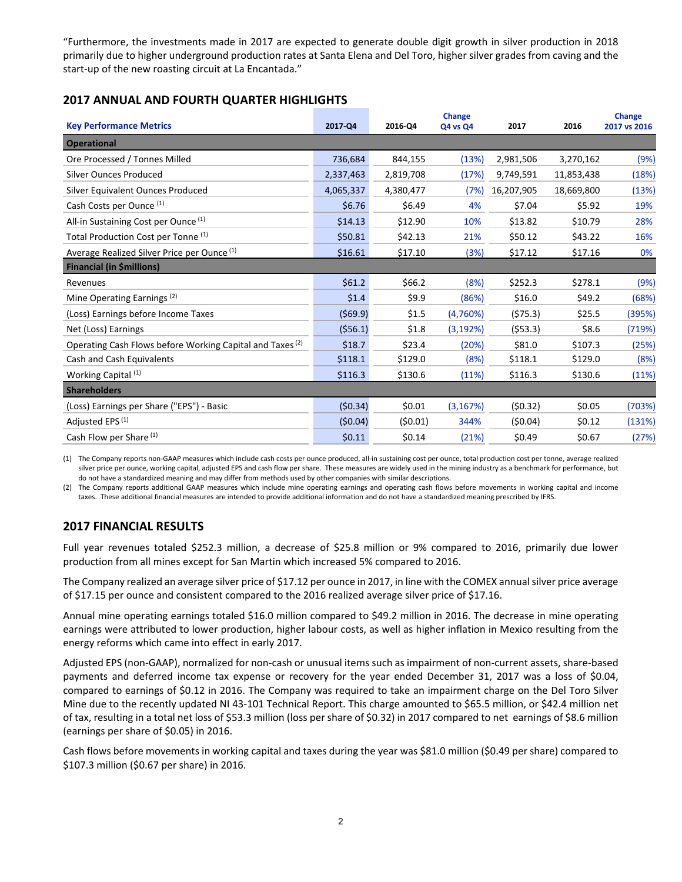"Furthermore, the investments made in 2017 are expected to generate double digit growth in silver production in 2018 primarily due to higher underground production rates at Santa Elena and Del Toro, higher silver grades from caving and the start-up of the new roasting circuit at La Encantada."

# **2017 ANNUAL AND FOURTH QUARTER HIGHLIGHTS**

| <b>Key Performance Metrics</b>                                       | 2017-Q4   | 2016-Q4   | Change<br>Q4 vs Q4 | 2017       | 2016       | Change<br>2017 vs 2016 |
|----------------------------------------------------------------------|-----------|-----------|--------------------|------------|------------|------------------------|
| <b>Operational</b>                                                   |           |           |                    |            |            |                        |
| Ore Processed / Tonnes Milled                                        | 736,684   | 844,155   | (13%)              | 2,981,506  | 3,270,162  | (9%)                   |
| <b>Silver Ounces Produced</b>                                        | 2,337,463 | 2,819,708 | (17%)              | 9,749,591  | 11,853,438 | (18%)                  |
| Silver Equivalent Ounces Produced                                    | 4,065,337 | 4,380,477 | (7%)               | 16,207,905 | 18,669,800 | (13%)                  |
| Cash Costs per Ounce (1)                                             | \$6.76    | \$6.49    | 4%                 | \$7.04     | \$5.92     | 19%                    |
| All-in Sustaining Cost per Ounce <sup>(1)</sup>                      | \$14.13   | \$12.90   | 10%                | \$13.82    | \$10.79    | 28%                    |
| Total Production Cost per Tonne <sup>(1)</sup>                       | \$50.81   | \$42.13   | 21%                | \$50.12    | \$43.22    | 16%                    |
| Average Realized Silver Price per Ounce <sup>(1)</sup>               | \$16.61   | \$17.10   | (3%)               | \$17.12    | \$17.16    | 0%                     |
| <b>Financial (in \$millions)</b>                                     |           |           |                    |            |            |                        |
| Revenues                                                             | \$61.2    | \$66.2    | (8%)               | \$252.3    | \$278.1    | (9%)                   |
| Mine Operating Earnings <sup>(2)</sup>                               | \$1.4     | \$9.9     | (86%)              | \$16.0     | \$49.2     | (68%)                  |
| (Loss) Earnings before Income Taxes                                  | ( \$69.9) | \$1.5     | (4,760%)           | (575.3)    | \$25.5     | (395%)                 |
| Net (Loss) Earnings                                                  | (556.1)   | \$1.8     | (3, 192%)          | (553.3)    | \$8.6      | (719%)                 |
| Operating Cash Flows before Working Capital and Taxes <sup>(2)</sup> | \$18.7    | \$23.4    | (20%)              | \$81.0     | \$107.3    | (25%)                  |
| Cash and Cash Equivalents                                            | \$118.1   | \$129.0   | (8%)               | \$118.1    | \$129.0    | (8%)                   |
| Working Capital <sup>(1)</sup>                                       | \$116.3   | \$130.6   | (11%)              | \$116.3    | \$130.6    | (11%)                  |
| <b>Shareholders</b>                                                  |           |           |                    |            |            |                        |
| (Loss) Earnings per Share ("EPS") - Basic                            | (50.34)   | \$0.01    | (3, 167%)          | (50.32)    | \$0.05     | (703%)                 |
| Adjusted EPS <sup>(1)</sup>                                          | (50.04)   | (50.01)   | 344%               | (50.04)    | \$0.12     | (131%)                 |
| Cash Flow per Share <sup>(1)</sup>                                   | \$0.11    | \$0.14    | (21%)              | \$0.49     | \$0.67     | (27%)                  |

(1) The Company reports non‐GAAP measures which include cash costs per ounce produced, all‐in sustaining cost per ounce, total production cost per tonne, average realized silver price per ounce, working capital, adjusted EPS and cash flow per share. These measures are widely used in the mining industry as a benchmark for performance, but do not have a standardized meaning and may differ from methods used by other companies with similar descriptions.

(2) The Company reports additional GAAP measures which include mine operating earnings and operating cash flows before movements in working capital and income taxes. These additional financial measures are intended to provide additional information and do not have a standardized meaning prescribed by IFRS.

# **2017 FINANCIAL RESULTS**

Full year revenues totaled \$252.3 million, a decrease of \$25.8 million or 9% compared to 2016, primarily due lower production from all mines except for San Martin which increased 5% compared to 2016.

The Company realized an average silver price of \$17.12 per ounce in 2017, in line with the COMEX annual silver price average of \$17.15 per ounce and consistent compared to the 2016 realized average silver price of \$17.16.

Annual mine operating earnings totaled \$16.0 million compared to \$49.2 million in 2016. The decrease in mine operating earnings were attributed to lower production, higher labour costs, as well as higher inflation in Mexico resulting from the energy reforms which came into effect in early 2017.

Adjusted EPS (non‐GAAP), normalized for non‐cash or unusual items such as impairment of non‐current assets, share‐based payments and deferred income tax expense or recovery for the year ended December 31, 2017 was a loss of \$0.04, compared to earnings of \$0.12 in 2016. The Company was required to take an impairment charge on the Del Toro Silver Mine due to the recently updated NI 43‐101 Technical Report. This charge amounted to \$65.5 million, or \$42.4 million net of tax, resulting in a total net loss of \$53.3 million (loss per share of \$0.32) in 2017 compared to net earnings of \$8.6 million (earnings per share of \$0.05) in 2016.

Cash flows before movements in working capital and taxes during the year was \$81.0 million (\$0.49 per share) compared to \$107.3 million (\$0.67 per share) in 2016.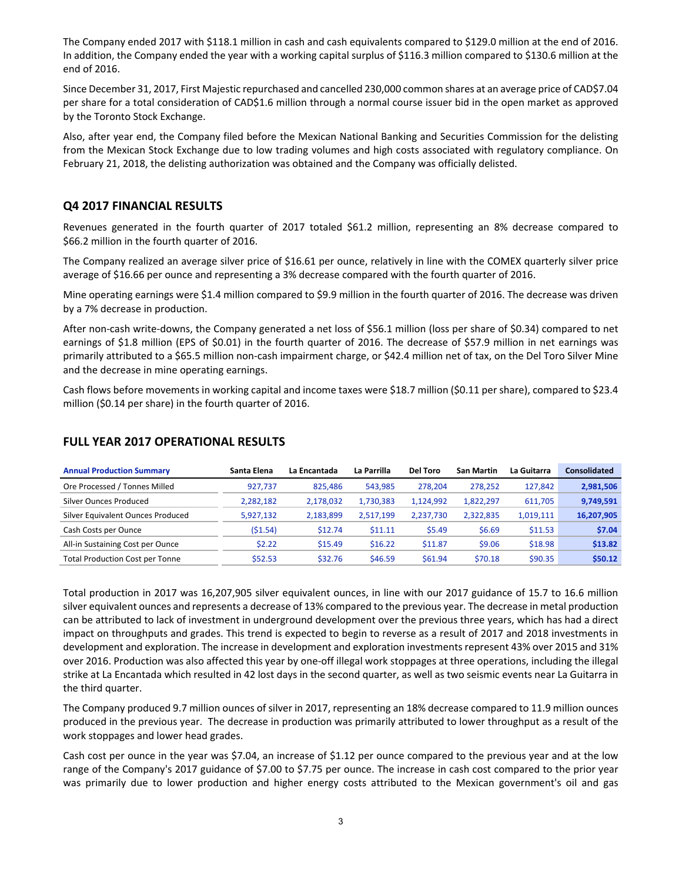The Company ended 2017 with \$118.1 million in cash and cash equivalents compared to \$129.0 million at the end of 2016. In addition, the Company ended the year with a working capital surplus of \$116.3 million compared to \$130.6 million at the end of 2016.

Since December 31, 2017, First Majestic repurchased and cancelled 230,000 common shares at an average price of CAD\$7.04 per share for a total consideration of CAD\$1.6 million through a normal course issuer bid in the open market as approved by the Toronto Stock Exchange.

Also, after year end, the Company filed before the Mexican National Banking and Securities Commission for the delisting from the Mexican Stock Exchange due to low trading volumes and high costs associated with regulatory compliance. On February 21, 2018, the delisting authorization was obtained and the Company was officially delisted.

#### **Q4 2017 FINANCIAL RESULTS**

Revenues generated in the fourth quarter of 2017 totaled \$61.2 million, representing an 8% decrease compared to \$66.2 million in the fourth quarter of 2016.

The Company realized an average silver price of \$16.61 per ounce, relatively in line with the COMEX quarterly silver price average of \$16.66 per ounce and representing a 3% decrease compared with the fourth quarter of 2016.

Mine operating earnings were \$1.4 million compared to \$9.9 million in the fourth quarter of 2016. The decrease was driven by a 7% decrease in production.

After non‐cash write‐downs, the Company generated a net loss of \$56.1 million (loss per share of \$0.34) compared to net earnings of \$1.8 million (EPS of \$0.01) in the fourth quarter of 2016. The decrease of \$57.9 million in net earnings was primarily attributed to a \$65.5 million non‐cash impairment charge, or \$42.4 million net of tax, on the Del Toro Silver Mine and the decrease in mine operating earnings.

Cash flows before movements in working capital and income taxes were \$18.7 million (\$0.11 per share), compared to \$23.4 million (\$0.14 per share) in the fourth quarter of 2016.

| <b>Annual Production Summary</b>       | Santa Elena | La Encantada | La Parrilla | <b>Del Toro</b> | <b>San Martin</b> | La Guitarra | <b>Consolidated</b> |
|----------------------------------------|-------------|--------------|-------------|-----------------|-------------------|-------------|---------------------|
| Ore Processed / Tonnes Milled          | 927.737     | 825.486      | 543.985     | 278.204         | 278.252           | 127.842     | 2,981,506           |
| Silver Ounces Produced                 | 2,282,182   | 2,178,032    | 1,730,383   | 1,124,992       | 1,822,297         | 611,705     | 9,749,591           |
| Silver Equivalent Ounces Produced      | 5,927,132   | 2.183.899    | 2.517.199   | 2.237.730       | 2,322,835         | 1,019,111   | 16,207,905          |
| Cash Costs per Ounce                   | (51.54)     | \$12.74      | \$11.11     | \$5.49          | \$6.69            | \$11.53     | \$7.04              |
| All-in Sustaining Cost per Ounce       | 52.22       | \$15.49      | \$16.22     | \$11.87         | \$9.06            | \$18.98     | \$13.82             |
| <b>Total Production Cost per Tonne</b> | \$52.53     | \$32.76      | \$46.59     | \$61.94         | \$70.18           | \$90.35     | \$50.12             |

#### **FULL YEAR 2017 OPERATIONAL RESULTS**

Total production in 2017 was 16,207,905 silver equivalent ounces, in line with our 2017 guidance of 15.7 to 16.6 million silver equivalent ounces and represents a decrease of 13% compared to the previous year. The decrease in metal production can be attributed to lack of investment in underground development over the previous three years, which has had a direct impact on throughputs and grades. This trend is expected to begin to reverse as a result of 2017 and 2018 investments in development and exploration. The increase in development and exploration investments represent 43% over 2015 and 31% over 2016. Production was also affected this year by one‐off illegal work stoppages at three operations, including the illegal strike at La Encantada which resulted in 42 lost days in the second quarter, as well as two seismic events near La Guitarra in the third quarter.

The Company produced 9.7 million ounces of silver in 2017, representing an 18% decrease compared to 11.9 million ounces produced in the previous year. The decrease in production was primarily attributed to lower throughput as a result of the work stoppages and lower head grades.

Cash cost per ounce in the year was \$7.04, an increase of \$1.12 per ounce compared to the previous year and at the low range of the Company's 2017 guidance of \$7.00 to \$7.75 per ounce. The increase in cash cost compared to the prior year was primarily due to lower production and higher energy costs attributed to the Mexican government's oil and gas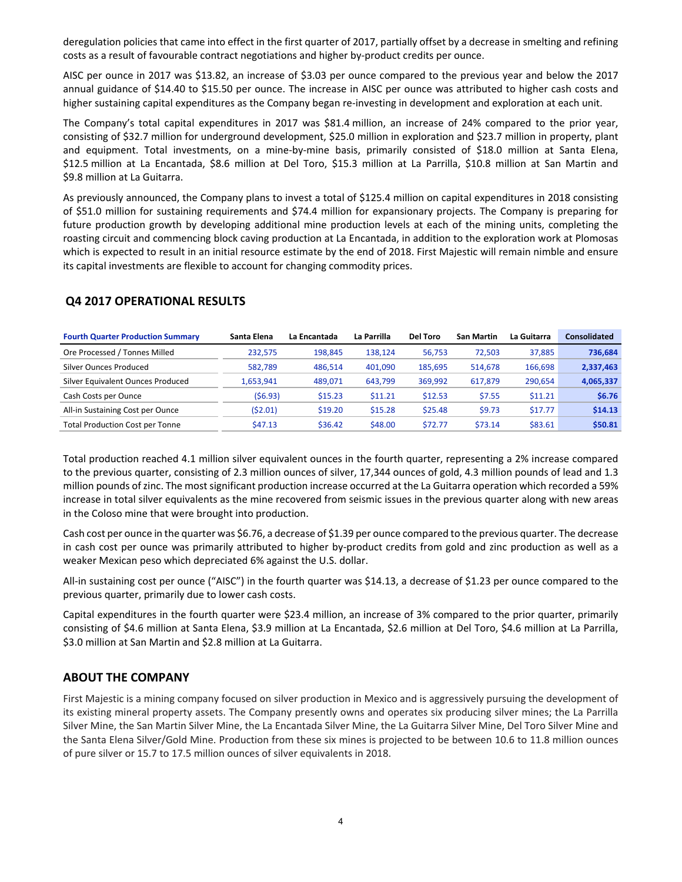deregulation policies that came into effect in the first quarter of 2017, partially offset by a decrease in smelting and refining costs as a result of favourable contract negotiations and higher by‐product credits per ounce.

AISC per ounce in 2017 was \$13.82, an increase of \$3.03 per ounce compared to the previous year and below the 2017 annual guidance of \$14.40 to \$15.50 per ounce. The increase in AISC per ounce was attributed to higher cash costs and higher sustaining capital expenditures as the Company began re-investing in development and exploration at each unit.

The Company's total capital expenditures in 2017 was \$81.4 million, an increase of 24% compared to the prior year, consisting of \$32.7 million for underground development, \$25.0 million in exploration and \$23.7 million in property, plant and equipment. Total investments, on a mine-by-mine basis, primarily consisted of \$18.0 million at Santa Elena, \$12.5 million at La Encantada, \$8.6 million at Del Toro, \$15.3 million at La Parrilla, \$10.8 million at San Martin and \$9.8 million at La Guitarra.

As previously announced, the Company plans to invest a total of \$125.4 million on capital expenditures in 2018 consisting of \$51.0 million for sustaining requirements and \$74.4 million for expansionary projects. The Company is preparing for future production growth by developing additional mine production levels at each of the mining units, completing the roasting circuit and commencing block caving production at La Encantada, in addition to the exploration work at Plomosas which is expected to result in an initial resource estimate by the end of 2018. First Majestic will remain nimble and ensure its capital investments are flexible to account for changing commodity prices.

| <b>Fourth Quarter Production Summary</b> | Santa Elena   | La Encantada | La Parrilla | <b>Del Toro</b> | <b>San Martin</b> | La Guitarra | Consolidated |
|------------------------------------------|---------------|--------------|-------------|-----------------|-------------------|-------------|--------------|
| Ore Processed / Tonnes Milled            | 232.575       | 198.845      | 138.124     | 56.753          | 72.503            | 37.885      | 736.684      |
| Silver Ounces Produced                   | 582.789       | 486.514      | 401.090     | 185,695         | 514.678           | 166.698     | 2,337,463    |
| Silver Equivalent Ounces Produced        | 1,653,941     | 489.071      | 643.799     | 369,992         | 617,879           | 290,654     | 4,065,337    |
| Cash Costs per Ounce                     | (56.93)       | \$15.23      | \$11.21     | \$12.53         | \$7.55            | \$11.21     | \$6.76       |
| All-in Sustaining Cost per Ounce         | (52.01)       | \$19.20      | \$15.28     | \$25.48         | \$9.73            | \$17.77     | \$14.13      |
| <b>Total Production Cost per Tonne</b>   | <b>S47.13</b> | \$36.42      | \$48.00     | \$72.77         | \$73.14           | \$83.61     | \$50.81      |

#### **Q4 2017 OPERATIONAL RESULTS**

Total production reached 4.1 million silver equivalent ounces in the fourth quarter, representing a 2% increase compared to the previous quarter, consisting of 2.3 million ounces of silver, 17,344 ounces of gold, 4.3 million pounds of lead and 1.3 million pounds of zinc. The most significant production increase occurred at the La Guitarra operation which recorded a 59% increase in total silver equivalents as the mine recovered from seismic issues in the previous quarter along with new areas in the Coloso mine that were brought into production.

Cash cost per ounce in the quarter was \$6.76, a decrease of \$1.39 per ounce compared to the previous quarter. The decrease in cash cost per ounce was primarily attributed to higher by‐product credits from gold and zinc production as well as a weaker Mexican peso which depreciated 6% against the U.S. dollar.

All-in sustaining cost per ounce ("AISC") in the fourth quarter was \$14.13, a decrease of \$1.23 per ounce compared to the previous quarter, primarily due to lower cash costs.

Capital expenditures in the fourth quarter were \$23.4 million, an increase of 3% compared to the prior quarter, primarily consisting of \$4.6 million at Santa Elena, \$3.9 million at La Encantada, \$2.6 million at Del Toro, \$4.6 million at La Parrilla, \$3.0 million at San Martin and \$2.8 million at La Guitarra.

# **ABOUT THE COMPANY**

First Majestic is a mining company focused on silver production in Mexico and is aggressively pursuing the development of its existing mineral property assets. The Company presently owns and operates six producing silver mines; the La Parrilla Silver Mine, the San Martin Silver Mine, the La Encantada Silver Mine, the La Guitarra Silver Mine, Del Toro Silver Mine and the Santa Elena Silver/Gold Mine. Production from these six mines is projected to be between 10.6 to 11.8 million ounces of pure silver or 15.7 to 17.5 million ounces of silver equivalents in 2018.